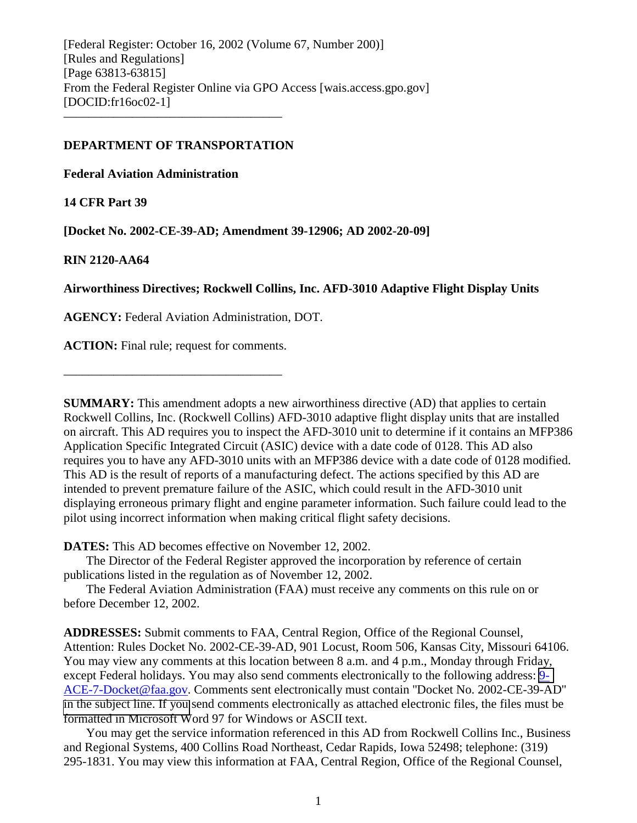[Federal Register: October 16, 2002 (Volume 67, Number 200)] [Rules and Regulations] [Page 63813-63815] From the Federal Register Online via GPO Access [wais.access.gpo.gov] [DOCID:fr16oc02-1] –––––––––––––––––––––––––––––––––––

## **DEPARTMENT OF TRANSPORTATION**

**Federal Aviation Administration**

**14 CFR Part 39**

**[Docket No. 2002-CE-39-AD; Amendment 39-12906; AD 2002-20-09]**

**RIN 2120-AA64**

**Airworthiness Directives; Rockwell Collins, Inc. AFD-3010 Adaptive Flight Display Units**

**AGENCY:** Federal Aviation Administration, DOT.

**ACTION:** Final rule; request for comments.

–––––––––––––––––––––––––––––––––––

**SUMMARY:** This amendment adopts a new airworthiness directive (AD) that applies to certain Rockwell Collins, Inc. (Rockwell Collins) AFD-3010 adaptive flight display units that are installed on aircraft. This AD requires you to inspect the AFD-3010 unit to determine if it contains an MFP386 Application Specific Integrated Circuit (ASIC) device with a date code of 0128. This AD also requires you to have any AFD-3010 units with an MFP386 device with a date code of 0128 modified. This AD is the result of reports of a manufacturing defect. The actions specified by this AD are intended to prevent premature failure of the ASIC, which could result in the AFD-3010 unit displaying erroneous primary flight and engine parameter information. Such failure could lead to the pilot using incorrect information when making critical flight safety decisions.

**DATES:** This AD becomes effective on November 12, 2002.

The Director of the Federal Register approved the incorporation by reference of certain publications listed in the regulation as of November 12, 2002.

The Federal Aviation Administration (FAA) must receive any comments on this rule on or before December 12, 2002.

**ADDRESSES:** Submit comments to FAA, Central Region, Office of the Regional Counsel, Attention: Rules Docket No. 2002-CE-39-AD, 901 Locust, Room 506, Kansas City, Missouri 64106. You may view any comments at this location between 8 a.m. and 4 p.m., Monday through Friday, except Federal holidays. You may also send comments electronically to the following address: [9-](mailto:9-ACE-7-Docket@faa.gov) ACE-7-Docket@faa.gov. Comments sent electronically must contain ''Docket No. 2002-CE-39-AD'' [in the subject line. If you](mailto:9-ACE-7-Docket@faa.gov) send comments electronically as attached electronic files, the files must be formatted in Microsoft Word 97 for Windows or ASCII text.

You may get the service information referenced in this AD from Rockwell Collins Inc., Business and Regional Systems, 400 Collins Road Northeast, Cedar Rapids, Iowa 52498; telephone: (319) 295-1831. You may view this information at FAA, Central Region, Office of the Regional Counsel,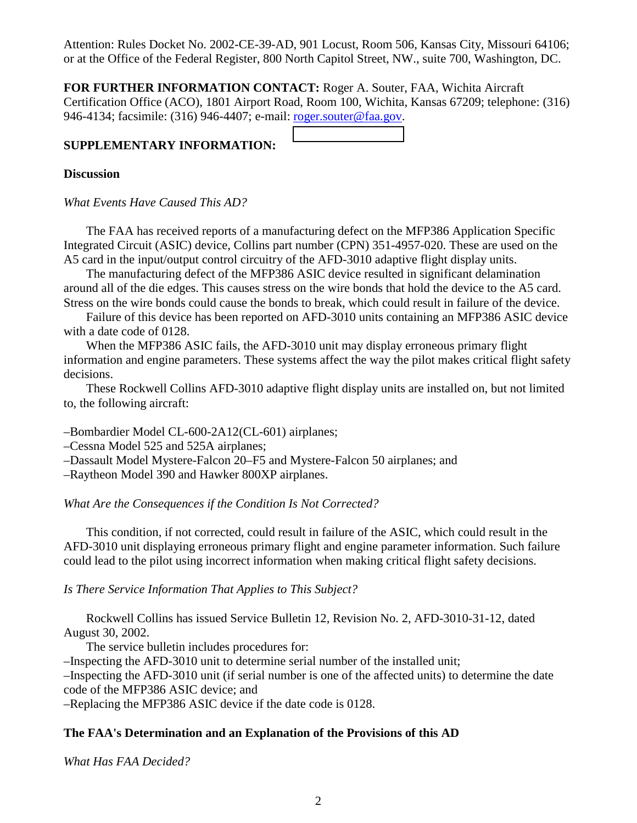Attention: Rules Docket No. 2002-CE-39-AD, 901 Locust, Room 506, Kansas City, Missouri 64106; or at the Office of the Federal Register, 800 North Capitol Street, NW., suite 700, Washington, DC.

**FOR FURTHER INFORMATION CONTACT:** Roger A. Souter, FAA, Wichita Aircraft Certification Office (ACO), 1801 Airport Road, Room 100, Wichita, Kansas 67209; telephone: (316) 946-4134; facsimile: (316) 946-4407; e-mail: roger.souter@faa.gov.

# **SUPPLEMENTARY INFORMATION:**

#### **Discussion**

*What Events Have Caused This AD?*

The FAA has received reports of a manufacturing defect on the MFP386 Application Specific Integrated Circuit (ASIC) device, Collins part number (CPN) 351-4957-020. These are used on the A5 card in the input/output control circuitry of the AFD-3010 adaptive flight display units.

The manufacturing defect of the MFP386 ASIC device resulted in significant delamination around all of the die edges. This causes stress on the wire bonds that hold the device to the A5 card. Stress on the wire bonds could cause the bonds to break, which could result in failure of the device.

Failure of this device has been reported on AFD-3010 units containing an MFP386 ASIC device with a date code of 0128.

When the MFP386 ASIC fails, the AFD-3010 unit may display erroneous primary flight information and engine parameters. These systems affect the way the pilot makes critical flight safety decisions.

These Rockwell Collins AFD-3010 adaptive flight display units are installed on, but not limited to, the following aircraft:

–Bombardier Model CL-600-2A12(CL-601) airplanes;

–Cessna Model 525 and 525A airplanes;

–Dassault Model Mystere-Falcon 20–F5 and Mystere-Falcon 50 airplanes; and

–Raytheon Model 390 and Hawker 800XP airplanes.

*What Are the Consequences if the Condition Is Not Corrected?*

This condition, if not corrected, could result in failure of the ASIC, which could result in the AFD-3010 unit displaying erroneous primary flight and engine parameter information. Such failure could lead to the pilot using incorrect information when making critical flight safety decisions.

*Is There Service Information That Applies to This Subject?*

Rockwell Collins has issued Service Bulletin 12, Revision No. 2, AFD-3010-31-12, dated August 30, 2002.

The service bulletin includes procedures for:

–Inspecting the AFD-3010 unit to determine serial number of the installed unit;

–Inspecting the AFD-3010 unit (if serial number is one of the affected units) to determine the date code of the MFP386 ASIC device; and

–Replacing the MFP386 ASIC device if the date code is 0128.

# **The FAA's Determination and an Explanation of the Provisions of this AD**

*What Has FAA Decided?*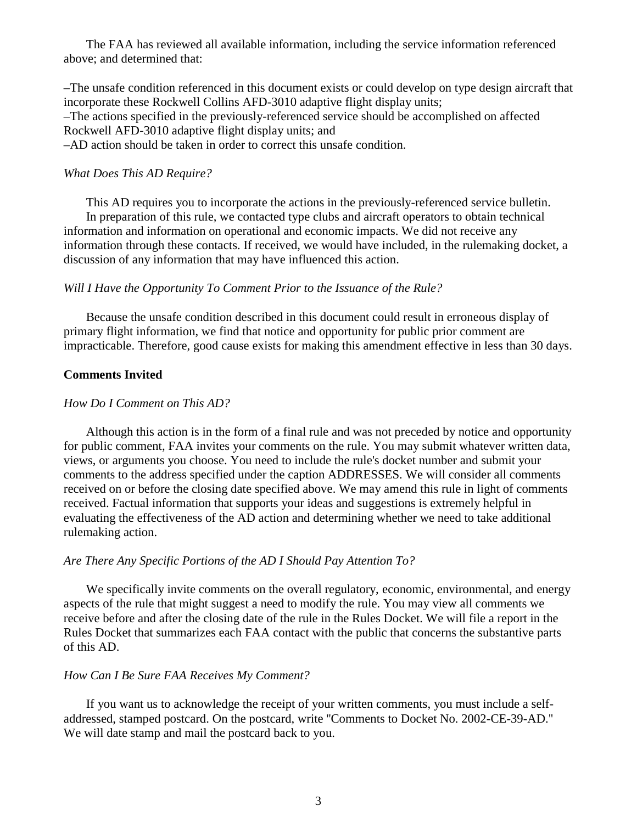The FAA has reviewed all available information, including the service information referenced above; and determined that:

–The unsafe condition referenced in this document exists or could develop on type design aircraft that incorporate these Rockwell Collins AFD-3010 adaptive flight display units; –The actions specified in the previously-referenced service should be accomplished on affected Rockwell AFD-3010 adaptive flight display units; and –AD action should be taken in order to correct this unsafe condition.

#### *What Does This AD Require?*

This AD requires you to incorporate the actions in the previously-referenced service bulletin. In preparation of this rule, we contacted type clubs and aircraft operators to obtain technical information and information on operational and economic impacts. We did not receive any information through these contacts. If received, we would have included, in the rulemaking docket, a discussion of any information that may have influenced this action.

## *Will I Have the Opportunity To Comment Prior to the Issuance of the Rule?*

Because the unsafe condition described in this document could result in erroneous display of primary flight information, we find that notice and opportunity for public prior comment are impracticable. Therefore, good cause exists for making this amendment effective in less than 30 days.

# **Comments Invited**

## *How Do I Comment on This AD?*

Although this action is in the form of a final rule and was not preceded by notice and opportunity for public comment, FAA invites your comments on the rule. You may submit whatever written data, views, or arguments you choose. You need to include the rule's docket number and submit your comments to the address specified under the caption ADDRESSES. We will consider all comments received on or before the closing date specified above. We may amend this rule in light of comments received. Factual information that supports your ideas and suggestions is extremely helpful in evaluating the effectiveness of the AD action and determining whether we need to take additional rulemaking action.

# *Are There Any Specific Portions of the AD I Should Pay Attention To?*

We specifically invite comments on the overall regulatory, economic, environmental, and energy aspects of the rule that might suggest a need to modify the rule. You may view all comments we receive before and after the closing date of the rule in the Rules Docket. We will file a report in the Rules Docket that summarizes each FAA contact with the public that concerns the substantive parts of this AD.

## *How Can I Be Sure FAA Receives My Comment?*

If you want us to acknowledge the receipt of your written comments, you must include a selfaddressed, stamped postcard. On the postcard, write ''Comments to Docket No. 2002-CE-39-AD.'' We will date stamp and mail the postcard back to you.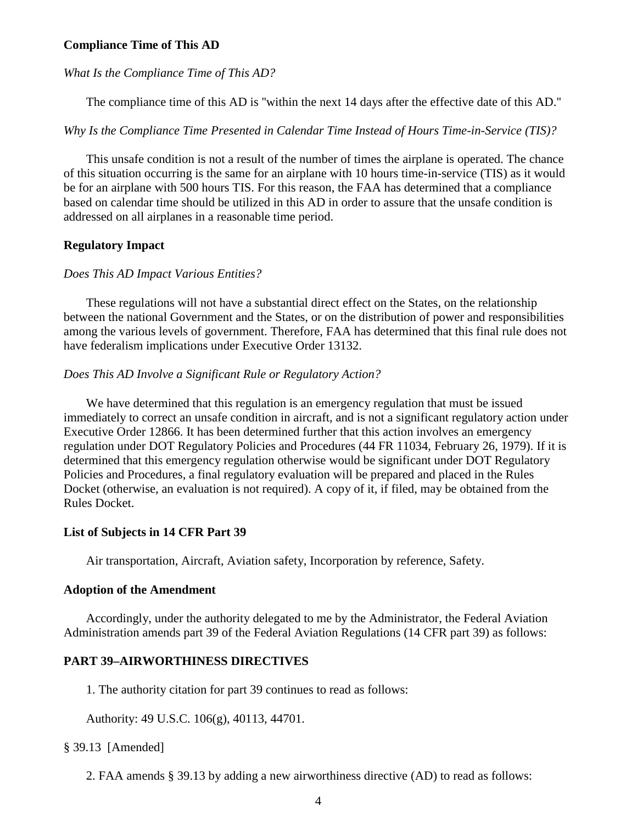#### **Compliance Time of This AD**

#### *What Is the Compliance Time of This AD?*

The compliance time of this AD is ''within the next 14 days after the effective date of this AD.''

*Why Is the Compliance Time Presented in Calendar Time Instead of Hours Time-in-Service (TIS)?*

This unsafe condition is not a result of the number of times the airplane is operated. The chance of this situation occurring is the same for an airplane with 10 hours time-in-service (TIS) as it would be for an airplane with 500 hours TIS. For this reason, the FAA has determined that a compliance based on calendar time should be utilized in this AD in order to assure that the unsafe condition is addressed on all airplanes in a reasonable time period.

## **Regulatory Impact**

#### *Does This AD Impact Various Entities?*

These regulations will not have a substantial direct effect on the States, on the relationship between the national Government and the States, or on the distribution of power and responsibilities among the various levels of government. Therefore, FAA has determined that this final rule does not have federalism implications under Executive Order 13132.

#### *Does This AD Involve a Significant Rule or Regulatory Action?*

We have determined that this regulation is an emergency regulation that must be issued immediately to correct an unsafe condition in aircraft, and is not a significant regulatory action under Executive Order 12866. It has been determined further that this action involves an emergency regulation under DOT Regulatory Policies and Procedures (44 FR 11034, February 26, 1979). If it is determined that this emergency regulation otherwise would be significant under DOT Regulatory Policies and Procedures, a final regulatory evaluation will be prepared and placed in the Rules Docket (otherwise, an evaluation is not required). A copy of it, if filed, may be obtained from the Rules Docket.

#### **List of Subjects in 14 CFR Part 39**

Air transportation, Aircraft, Aviation safety, Incorporation by reference, Safety.

#### **Adoption of the Amendment**

Accordingly, under the authority delegated to me by the Administrator, the Federal Aviation Administration amends part 39 of the Federal Aviation Regulations (14 CFR part 39) as follows:

#### **PART 39–AIRWORTHINESS DIRECTIVES**

1. The authority citation for part 39 continues to read as follows:

Authority: 49 U.S.C. 106(g), 40113, 44701.

#### § 39.13 [Amended]

2. FAA amends § 39.13 by adding a new airworthiness directive (AD) to read as follows: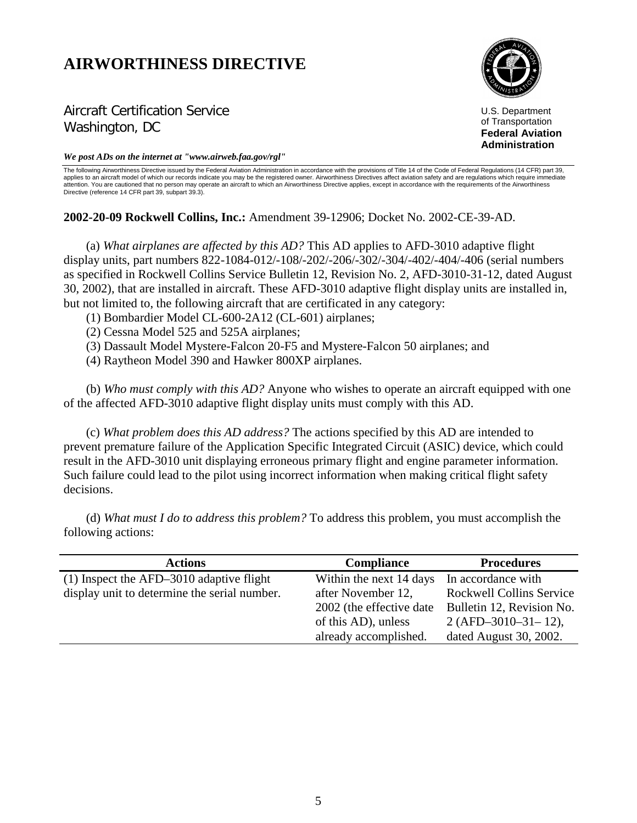# **AIRWORTHINESS DIRECTIVE**



Aircraft Certification Service Washington, DC

U.S. Department of Transportation **Federal Aviation Administration**

*We post ADs on the internet at "www.airweb.faa.gov/rgl"*

The following Airworthiness Directive issued by the Federal Aviation Administration in accordance with the provisions of Title 14 of the Code of Federal Regulations (14 CFR) part 39, applies to an aircraft model of which our records indicate you may be the registered owner. Airworthiness Directives affect aviation safety and are regulations which require immediate attention. You are cautioned that no person may operate an aircraft to which an Airworthiness Directive applies, except in accordance with the requirements of the Airworthiness Directive (reference 14 CFR part 39, subpart 39.3).

**2002-20-09 Rockwell Collins, Inc.:** Amendment 39-12906; Docket No. 2002-CE-39-AD.

(a) *What airplanes are affected by this AD?* This AD applies to AFD-3010 adaptive flight display units, part numbers 822-1084-012/-108/-202/-206/-302/-304/-402/-404/-406 (serial numbers as specified in Rockwell Collins Service Bulletin 12, Revision No. 2, AFD-3010-31-12, dated August 30, 2002), that are installed in aircraft. These AFD-3010 adaptive flight display units are installed in, but not limited to, the following aircraft that are certificated in any category:

- (1) Bombardier Model CL-600-2A12 (CL-601) airplanes;
- (2) Cessna Model 525 and 525A airplanes;
- (3) Dassault Model Mystere-Falcon 20-F5 and Mystere-Falcon 50 airplanes; and
- (4) Raytheon Model 390 and Hawker 800XP airplanes.

(b) *Who must comply with this AD?* Anyone who wishes to operate an aircraft equipped with one of the affected AFD-3010 adaptive flight display units must comply with this AD.

(c) *What problem does this AD address?* The actions specified by this AD are intended to prevent premature failure of the Application Specific Integrated Circuit (ASIC) device, which could result in the AFD-3010 unit displaying erroneous primary flight and engine parameter information. Such failure could lead to the pilot using incorrect information when making critical flight safety decisions.

(d) *What must I do to address this problem?* To address this problem, you must accomplish the following actions:

| <b>Actions</b>                               | <b>Compliance</b>         | <b>Procedures</b>               |
|----------------------------------------------|---------------------------|---------------------------------|
| $(1)$ Inspect the AFD-3010 adaptive flight   | Within the next 14 days   | In accordance with              |
| display unit to determine the serial number. | after November 12,        | <b>Rockwell Collins Service</b> |
|                                              | 2002 (the effective date) | Bulletin 12, Revision No.       |
|                                              | of this AD), unless       | $2 (AFD-3010-31-12)$ ,          |
|                                              | already accomplished.     | dated August 30, 2002.          |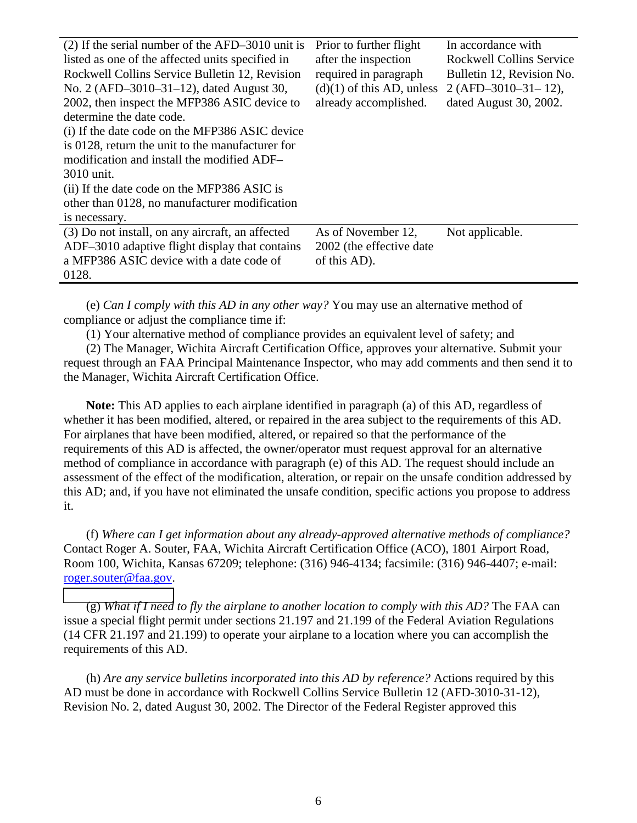| $(2)$ If the serial number of the AFD-3010 unit is | Prior to further flight     | In accordance with              |
|----------------------------------------------------|-----------------------------|---------------------------------|
| listed as one of the affected units specified in   | after the inspection        | <b>Rockwell Collins Service</b> |
| Rockwell Collins Service Bulletin 12, Revision     | required in paragraph       | Bulletin 12, Revision No.       |
| No. 2 (AFD-3010-31-12), dated August 30,           | $(d)(1)$ of this AD, unless | $2(AFD-3010-31-12),$            |
| 2002, then inspect the MFP386 ASIC device to       | already accomplished.       | dated August 30, 2002.          |
| determine the date code.                           |                             |                                 |
| (i) If the date code on the MFP386 ASIC device     |                             |                                 |
| is 0128, return the unit to the manufacturer for   |                             |                                 |
| modification and install the modified ADF-         |                             |                                 |
| 3010 unit.                                         |                             |                                 |
| (ii) If the date code on the MFP386 ASIC is        |                             |                                 |
| other than 0128, no manufacturer modification      |                             |                                 |
| is necessary.                                      |                             |                                 |
| (3) Do not install, on any aircraft, an affected   | As of November 12,          | Not applicable.                 |
| ADF-3010 adaptive flight display that contains     | 2002 (the effective date    |                                 |
| a MFP386 ASIC device with a date code of           | of this AD).                |                                 |
| 0128.                                              |                             |                                 |

(e) *Can I comply with this AD in any other way?* You may use an alternative method of compliance or adjust the compliance time if:

(1) Your alternative method of compliance provides an equivalent level of safety; and

(2) The Manager, Wichita Aircraft Certification Office, approves your alternative. Submit your request through an FAA Principal Maintenance Inspector, who may add comments and then send it to the Manager, Wichita Aircraft Certification Office.

**Note:** This AD applies to each airplane identified in paragraph (a) of this AD, regardless of whether it has been modified, altered, or repaired in the area subject to the requirements of this AD. For airplanes that have been modified, altered, or repaired so that the performance of the requirements of this AD is affected, the owner/operator must request approval for an alternative method of compliance in accordance with paragraph (e) of this AD. The request should include an assessment of the effect of the modification, alteration, or repair on the unsafe condition addressed by this AD; and, if you have not eliminated the unsafe condition, specific actions you propose to address it.

(f) *Where can I get information about any already-approved alternative methods of compliance?* Contact Roger A. Souter, FAA, Wichita Aircraft Certification Office (ACO), 1801 Airport Road, Room 100, Wichita, Kansas 67209; telephone: (316) 946-4134; facsimile: (316) 946-4407; e-mail: roger.souter@faa.gov.

(g) *[What if I need](mailto:roger.souter@faa.gov) to fly the airplane to another location to comply with this AD?* The FAA can issue a special flight permit under sections 21.197 and 21.199 of the Federal Aviation Regulations (14 CFR 21.197 and 21.199) to operate your airplane to a location where you can accomplish the requirements of this AD.

(h) *Are any service bulletins incorporated into this AD by reference?* Actions required by this AD must be done in accordance with Rockwell Collins Service Bulletin 12 (AFD-3010-31-12), Revision No. 2, dated August 30, 2002. The Director of the Federal Register approved this